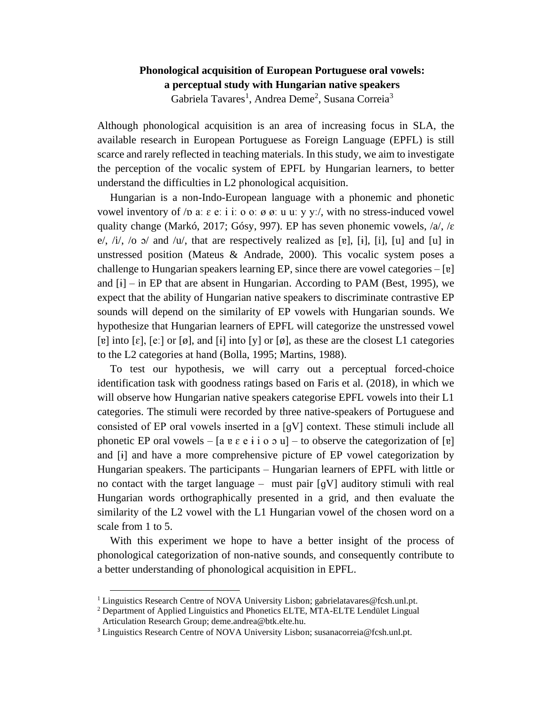## **Phonological acquisition of European Portuguese oral vowels: a perceptual study with Hungarian native speakers** Gabriela Tavares<sup>1</sup>, Andrea Deme<sup>2</sup>, Susana Correia<sup>3</sup>

Although phonological acquisition is an area of increasing focus in SLA, the available research in European Portuguese as Foreign Language (EPFL) is still scarce and rarely reflected in teaching materials. In this study, we aim to investigate the perception of the vocalic system of EPFL by Hungarian learners, to better understand the difficulties in L2 phonological acquisition.

Hungarian is a non-Indo-European language with a phonemic and phonetic vowel inventory of /p a:  $\varepsilon$  e: i i: o o:  $\varnothing$   $\varnothing$ : u u: y y:/, with no stress-induced vowel quality change (Markó, 2017; Gósy, 997). EP has seven phonemic vowels,  $/a$ , / $\varepsilon$ e/,  $/i$ ,  $/o$   $\circ$  and  $/u$ , that are respectively realized as [ɐ], [ɨ], [i], [u] and [u] in unstressed position (Mateus  $\&$  Andrade, 2000). This vocalic system poses a challenge to Hungarian speakers learning EP, since there are vowel categories  $-[v]$ and  $[i]$  – in EP that are absent in Hungarian. According to PAM (Best, 1995), we expect that the ability of Hungarian native speakers to discriminate contrastive EP sounds will depend on the similarity of EP vowels with Hungarian sounds. We hypothesize that Hungarian learners of EPFL will categorize the unstressed vowel [ɐ] into [ɛ], [eː] or [ø], and [ɨ] into [y] or [ø], as these are the closest L1 categories to the L2 categories at hand (Bolla, 1995; Martins, 1988).

To test our hypothesis, we will carry out a perceptual forced-choice identification task with goodness ratings based on Faris et al. (2018), in which we will observe how Hungarian native speakers categorise EPFL vowels into their L1 categories. The stimuli were recorded by three native-speakers of Portuguese and consisted of EP oral vowels inserted in a [ɡV] context. These stimuli include all phonetic EP oral vowels – [a  $e \in \mathfrak{e}$  i o  $\infty$  u] – to observe the categorization of [ɐ] and [ɨ] and have a more comprehensive picture of EP vowel categorization by Hungarian speakers. The participants – Hungarian learners of EPFL with little or no contact with the target language – must pair  $[qV]$  auditory stimuli with real Hungarian words orthographically presented in a grid, and then evaluate the similarity of the L2 vowel with the L1 Hungarian vowel of the chosen word on a scale from 1 to 5.

With this experiment we hope to have a better insight of the process of phonological categorization of non-native sounds, and consequently contribute to a better understanding of phonological acquisition in EPFL.

<sup>&</sup>lt;sup>1</sup> Linguistics Research Centre of NOVA University Lisbon; gabrielatavares@fcsh.unl.pt.

<sup>2</sup> Department of Applied Linguistics and Phonetics ELTE, MTA-ELTE Lendület Lingual Articulation Research Group; deme.andrea@btk.elte.hu.

<sup>3</sup> Linguistics Research Centre of NOVA University Lisbon; susanacorreia@fcsh.unl.pt.